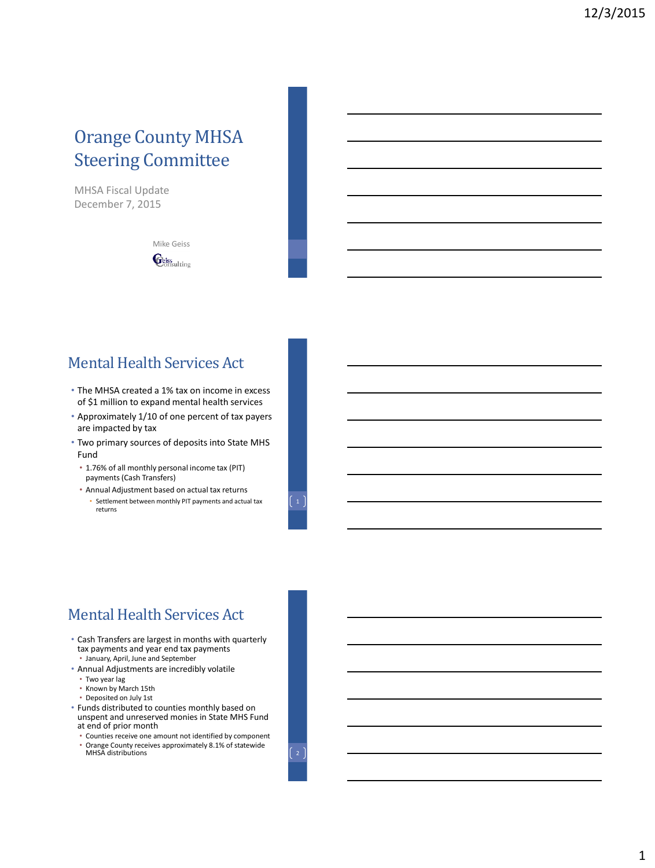# Orange County MHSA Steering Committee

MHSA Fiscal Update December 7, 2015

> Mike Geiss **E**ciss ulting

## Mental Health Services Act

- The MHSA created a 1% tax on income in excess of \$1 million to expand mental health services
- Approximately 1/10 of one percent of tax payers are impacted by tax
- Two primary sources of deposits into State MHS Fund
	- 1.76% of all monthly personal income tax (PIT) payments (Cash Transfers)
	- Annual Adjustment based on actual tax returns • Settlement between monthly PIT payments and actual tax returns

## Mental Health Services Act

- Cash Transfers are largest in months with quarterly tax payments and year end tax payments • January, April, June and September
- Annual Adjustments are incredibly volatile
- Two year lag
- Known by March 15th
- Deposited on July 1st
- Funds distributed to counties monthly based on unspent and unreserved monies in State MHS Fund at end of prior month
	- Counties receive one amount not identified by component • Orange County receives approximately 8.1% of statewide <br>MHSA distributions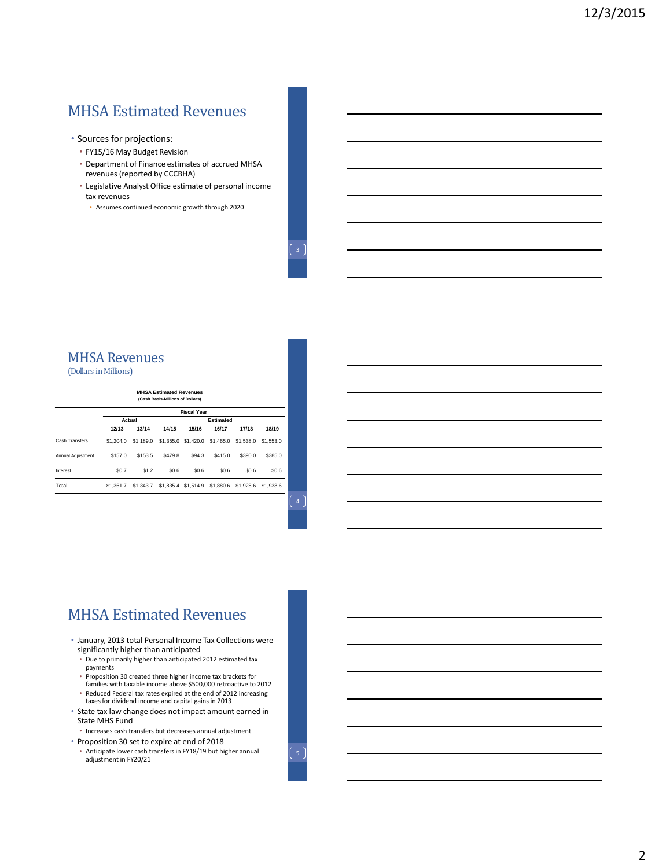# MHSA Estimated Revenues

- Sources for projections:
	- FY15/16 May Budget Revision
	- Department of Finance estimates of accrued MHSA revenues (reported by CCCBHA)
	- Legislative Analyst Office estimate of personal income tax revenues
	- Assumes continued economic growth through 2020

## MHSA Revenues

(Dollars in Millions)

#### **MHSA Estimated Revenues (Cash Basis-Millions of Dollars)**

|                       | <b>Fiscal Year</b> |           |                  |                               |         |           |           |  |  |
|-----------------------|--------------------|-----------|------------------|-------------------------------|---------|-----------|-----------|--|--|
|                       | Actual             |           | <b>Estimated</b> |                               |         |           |           |  |  |
|                       | 12/13              | 13/14     | 14/15            | 15/16                         | 16/17   | 17/18     | 18/19     |  |  |
| <b>Cash Transfers</b> | \$1,204.0          | \$1,189.0 |                  | \$1,355.0 \$1,420.0 \$1,465.0 |         | \$1,538.0 | \$1,553.0 |  |  |
| Annual Adiustment     | \$157.0            | \$153.5   | \$479.8          | \$94.3                        | \$415.0 | \$390.0   | \$385.0   |  |  |
| Interest              | \$0.7              | \$1.2     | \$0.6            | \$0.6                         | \$0.6   | \$0.6     | \$0.6     |  |  |
| Total                 | \$1,361.7          | \$1,343.7 |                  | \$1,835.4 \$1,514.9 \$1,880.6 |         | \$1,928.6 | \$1,938.6 |  |  |

4

## MHSA Estimated Revenues

- January, 2013 total Personal Income Tax Collections were significantly higher than anticipated
	- Due to primarily higher than anticipated 2012 estimated tax payments
	- Proposition 30 created three higher income tax brackets for families with taxable income above \$500,000 retroactive to 2012 • Reduced Federal tax rates expired at the end of 2012 increasing
	- taxes for dividend income and capital gains in 2013
- State tax law change does not impact amount earned in State MHS Fund
- Increases cash transfers but decreases annual adjustment • Proposition 30 set to expire at end of 2018
- Anticipate lower cash transfers in FY18/19 but higher annual adjustment in FY20/21

 $\begin{bmatrix} 5 \end{bmatrix}$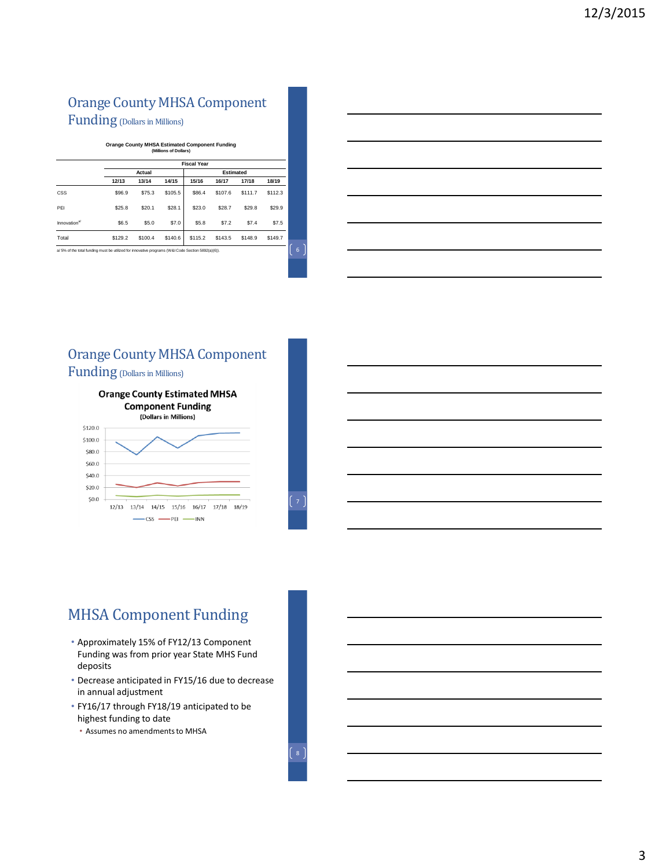# Orange County MHSA Component

Funding (Dollars in Millions)

#### **Orange County MHSA Estimated Component Funding (Millions of Dollars)**

|                          | <b>Fiscal Year</b> |         |         |                  |         |         |         |  |  |  |
|--------------------------|--------------------|---------|---------|------------------|---------|---------|---------|--|--|--|
|                          | Actual             |         |         | <b>Estimated</b> |         |         |         |  |  |  |
|                          | 12/13              | 13/14   | 14/15   | 15/16            | 16/17   | 17/18   | 18/19   |  |  |  |
| <b>CSS</b>               | \$96.9             | \$75.3  | \$105.5 | \$86.4           | \$107.6 | \$111.7 | \$112.3 |  |  |  |
| PEI                      | \$25.8             | \$20.1  | \$28.1  | \$23.0           | \$28.7  | \$29.8  | \$29.9  |  |  |  |
| Innovation <sup>a/</sup> | \$6.5              | \$5.0   | \$7.0   | \$5.8            | \$7.2   | \$7.4   | \$7.5   |  |  |  |
| Total                    | \$129.2            | \$100.4 | \$140.6 | \$115.2          | \$143.5 | \$148.9 | \$149.7 |  |  |  |

a/ 5% of the total funding must be utilized for innovative programs (W&I Code Section 5892(a)(6)).

### Orange County MHSA Component Funding (Dollars in Millions)





# MHSA Component Funding

- Approximately 15% of FY12/13 Component Funding was from prior year State MHS Fund deposits
- Decrease anticipated in FY15/16 due to decrease in annual adjustment
- FY16/17 through FY18/19 anticipated to be highest funding to date
	- Assumes no amendments to MHSA

6

7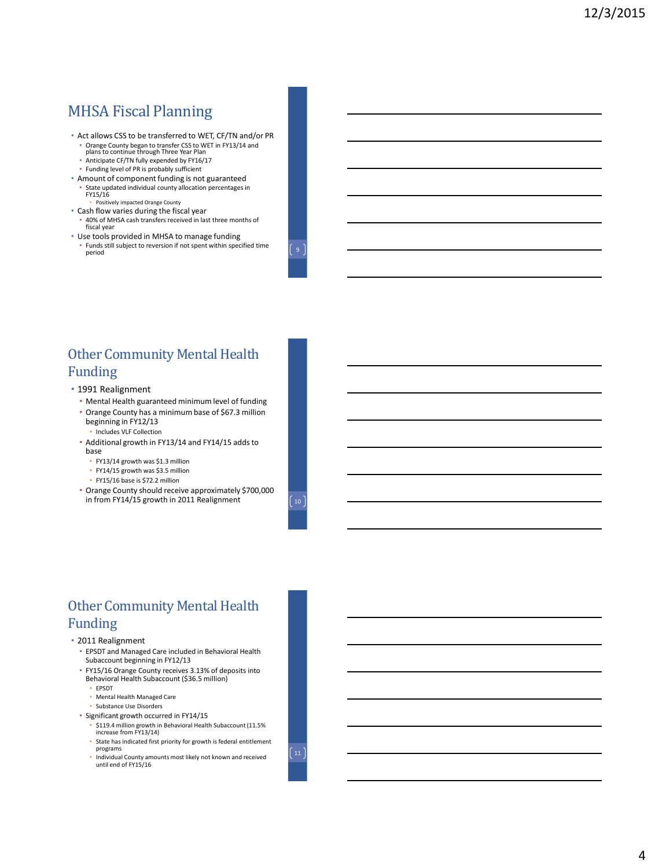## MHSA Fiscal Planning

- Act allows CSS to be transferred to WET, CF/TN and/or PR
	- Orange County began to transfer CSS to WET in FY13/14 and plans to continue through Three Year Plan
	- Anticipate CF/TN fully expended by FY16/17
	- Funding level of PR is probably sufficient
- Amount of component funding is not guaranteed • State updated individual county allocation percentages in FY15/16 • Positively impacted Orange County
- Cash flow varies during the fiscal year
- 40% of MHSA cash transfers received in last three months of fiscal year
- Use tools provided in MHSA to manage funding • Funds still subject to reversion if not spent within specified time  $\Bigl[ 9 \Bigr]$

### Other Community Mental Health Funding

- 1991 Realignment
	- Mental Health guaranteed minimum level of funding
	- Orange County has a minimum base of \$67.3 million beginning in FY12/13 • Includes VLF Collection
	- Additional growth in FY13/14 and FY14/15 adds to base
		- FY13/14 growth was \$1.3 million
		- FY14/15 growth was \$3.5 million
		- FY15/16 base is \$72.2 million
	- Orange County should receive approximately \$700,000 in from FY14/15 growth in 2011 Realignment  $\int 10^{-7}$

### Other Community Mental Health Funding

#### • 2011 Realignment

- EPSDT and Managed Care included in Behavioral Health Subaccount beginning in FY12/13
- FY15/16 Orange County receives 3.13% of deposits into Behavioral Health Subaccount (\$36.5 million)
	- EPSDT
	- Mental Health Managed Care
	- Substance Use Disorders
- Significant growth occurred in FY14/15
	- \$119.4 million growth in Behavioral Health Subaccount (11.5% increase from FY13/14)
	- State has indicated first priority for growth is federal entitlement programs
	- Individual County amounts most likely not known and received until end of FY15/16